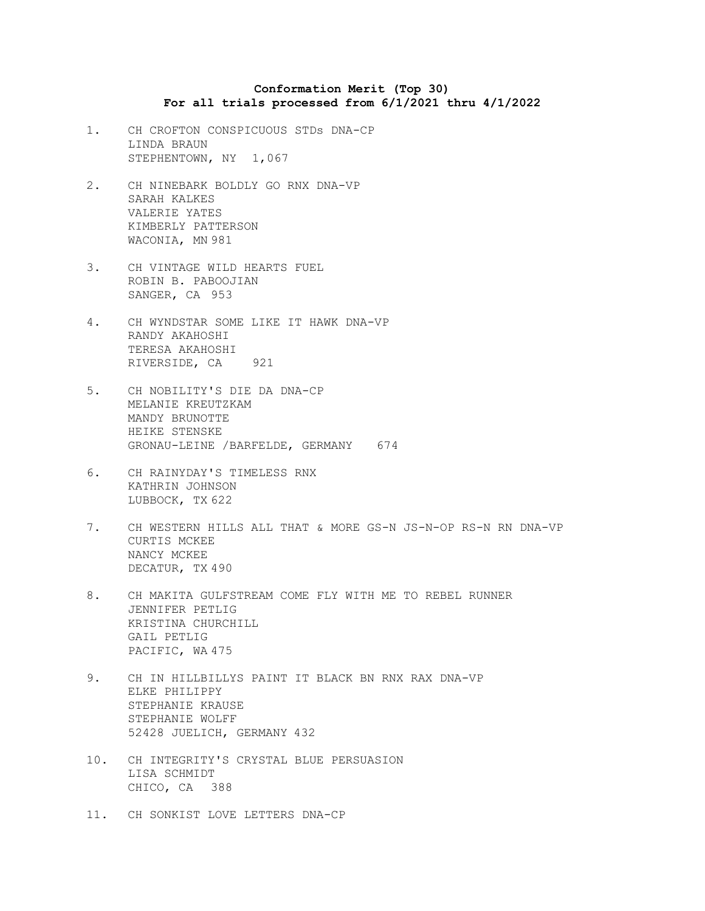## **Conformation Merit (Top 30) For all trials processed from 6/1/2021 thru 4/1/2022**

- 1. CH CROFTON CONSPICUOUS STDs DNA-CP LINDA BRAUN STEPHENTOWN, NY 1,067
- 2. CH NINEBARK BOLDLY GO RNX DNA-VP SARAH KALKES VALERIE YATES KIMBERLY PATTERSON WACONIA, MN 981
- 3. CH VINTAGE WILD HEARTS FUEL ROBIN B. PABOOJIAN SANGER, CA 953
- 4. CH WYNDSTAR SOME LIKE IT HAWK DNA-VP RANDY AKAHOSHI TERESA AKAHOSHI RIVERSIDE, CA 921
- 5. CH NOBILITY'S DIE DA DNA-CP MELANIE KREUTZKAM MANDY BRUNOTTE HEIKE STENSKE GRONAU-LEINE /BARFELDE, GERMANY 674
- 6. CH RAINYDAY'S TIMELESS RNX KATHRIN JOHNSON LUBBOCK, TX 622
- 7. CH WESTERN HILLS ALL THAT & MORE GS-N JS-N-OP RS-N RN DNA-VP CURTIS MCKEE NANCY MCKEE DECATUR, TX 490
- 8. CH MAKITA GULFSTREAM COME FLY WITH ME TO REBEL RUNNER JENNIFER PETLIG KRISTINA CHURCHILL GAIL PETLIG PACIFIC, WA 475
- 9. CH IN HILLBILLYS PAINT IT BLACK BN RNX RAX DNA-VP ELKE PHILIPPY STEPHANIE KRAUSE STEPHANIE WOLFF 52428 JUELICH, GERMANY 432
- 10. CH INTEGRITY'S CRYSTAL BLUE PERSUASION LISA SCHMIDT CHICO, CA 388
- 11. CH SONKIST LOVE LETTERS DNA-CP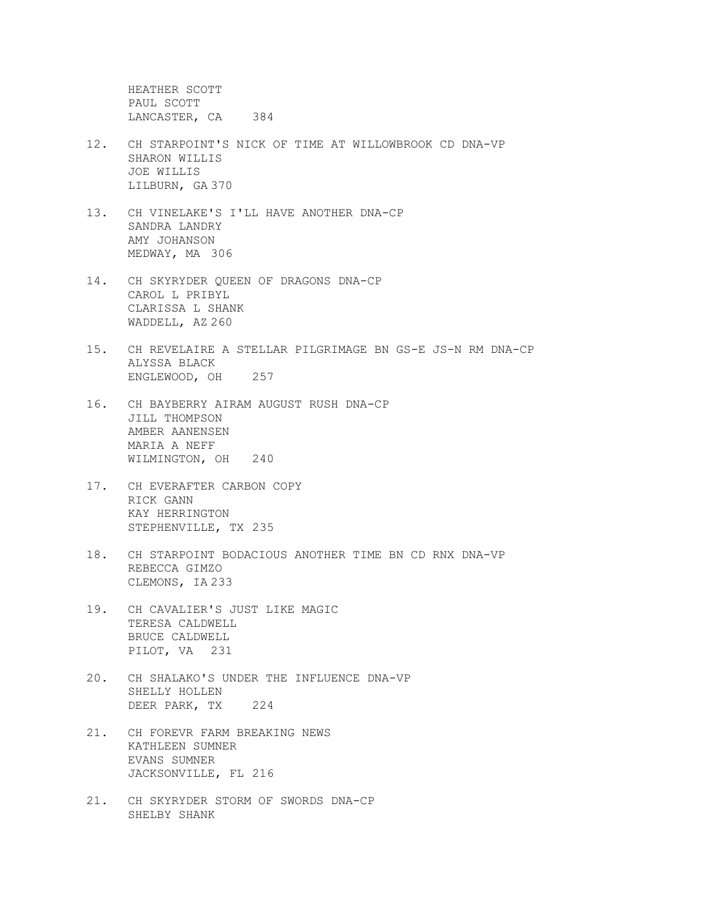HEATHER SCOTT PAUL SCOTT LANCASTER, CA 384

- 12. CH STARPOINT'S NICK OF TIME AT WILLOWBROOK CD DNA-VP SHARON WILLIS JOE WILLIS LILBURN, GA 370
- 13. CH VINELAKE'S I'LL HAVE ANOTHER DNA-CP SANDRA LANDRY AMY JOHANSON MEDWAY, MA 306
- 14. CH SKYRYDER QUEEN OF DRAGONS DNA-CP CAROL L PRIBYL CLARISSA L SHANK WADDELL, AZ 260
- 15. CH REVELAIRE A STELLAR PILGRIMAGE BN GS-E JS-N RM DNA-CP ALYSSA BLACK ENGLEWOOD, OH 257
- 16. CH BAYBERRY AIRAM AUGUST RUSH DNA-CP JILL THOMPSON AMBER AANENSEN MARIA A NEFF WILMINGTON, OH 240
- 17. CH EVERAFTER CARBON COPY RICK GANN KAY HERRINGTON STEPHENVILLE, TX 235
- 18. CH STARPOINT BODACIOUS ANOTHER TIME BN CD RNX DNA-VP REBECCA GIMZO CLEMONS, IA 233
- 19. CH CAVALIER'S JUST LIKE MAGIC TERESA CALDWELL BRUCE CALDWELL PILOT, VA 231
- 20. CH SHALAKO'S UNDER THE INFLUENCE DNA-VP SHELLY HOLLEN DEER PARK, TX 224
- 21. CH FOREVR FARM BREAKING NEWS KATHLEEN SUMNER EVANS SUMNER JACKSONVILLE, FL 216
- 21. CH SKYRYDER STORM OF SWORDS DNA-CP SHELBY SHANK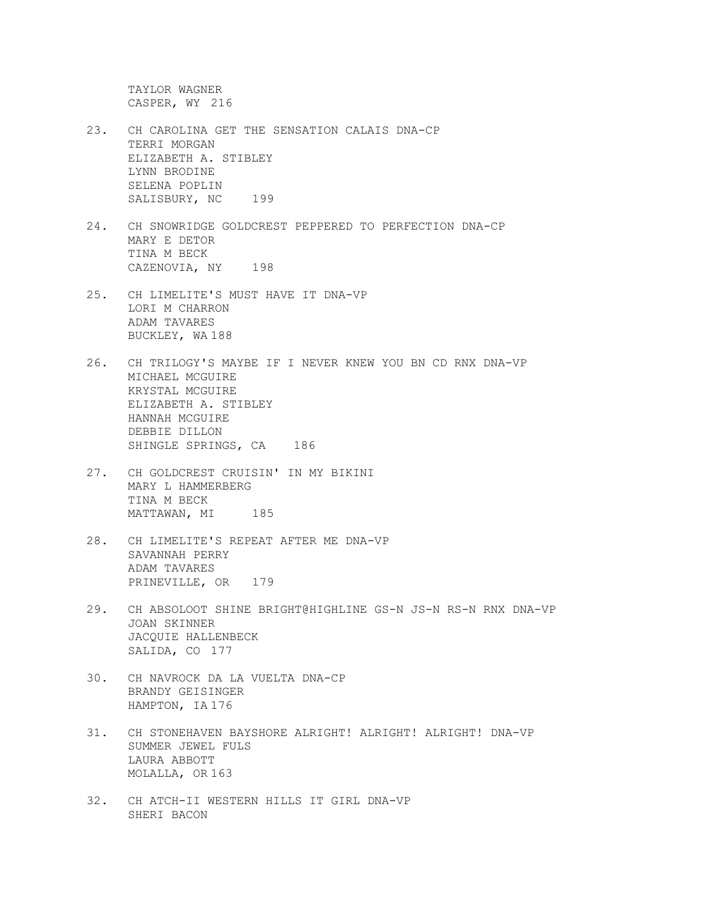TAYLOR WAGNER CASPER, WY 216

- 23. CH CAROLINA GET THE SENSATION CALAIS DNA-CP TERRI MORGAN ELIZABETH A. STIBLEY LYNN BRODINE SELENA POPLIN SALISBURY, NC 199
- 24. CH SNOWRIDGE GOLDCREST PEPPERED TO PERFECTION DNA-CP MARY E DETOR TINA M BECK CAZENOVIA, NY 198
- 25. CH LIMELITE'S MUST HAVE IT DNA-VP LORI M CHARRON ADAM TAVARES BUCKLEY, WA 188
- 26. CH TRILOGY'S MAYBE IF I NEVER KNEW YOU BN CD RNX DNA-VP MICHAEL MCGUIRE KRYSTAL MCGUIRE ELIZABETH A. STIBLEY HANNAH MCGUIRE DEBBIE DILLON SHINGLE SPRINGS, CA 186
- 27. CH GOLDCREST CRUISIN' IN MY BIKINI MARY L HAMMERBERG TINA M BECK MATTAWAN, MI 185
- 28. CH LIMELITE'S REPEAT AFTER ME DNA-VP SAVANNAH PERRY ADAM TAVARES PRINEVILLE, OR 179
- 29. CH ABSOLOOT SHINE BRIGHT@HIGHLINE GS-N JS-N RS-N RNX DNA-VP JOAN SKINNER JACQUIE HALLENBECK SALIDA, CO 177
- 30. CH NAVROCK DA LA VUELTA DNA-CP BRANDY GEISINGER HAMPTON, IA 176
- 31. CH STONEHAVEN BAYSHORE ALRIGHT! ALRIGHT! ALRIGHT! DNA-VP SUMMER JEWEL FULS LAURA ABBOTT MOLALLA, OR 163
- 32. CH ATCH-II WESTERN HILLS IT GIRL DNA-VP SHERI BACON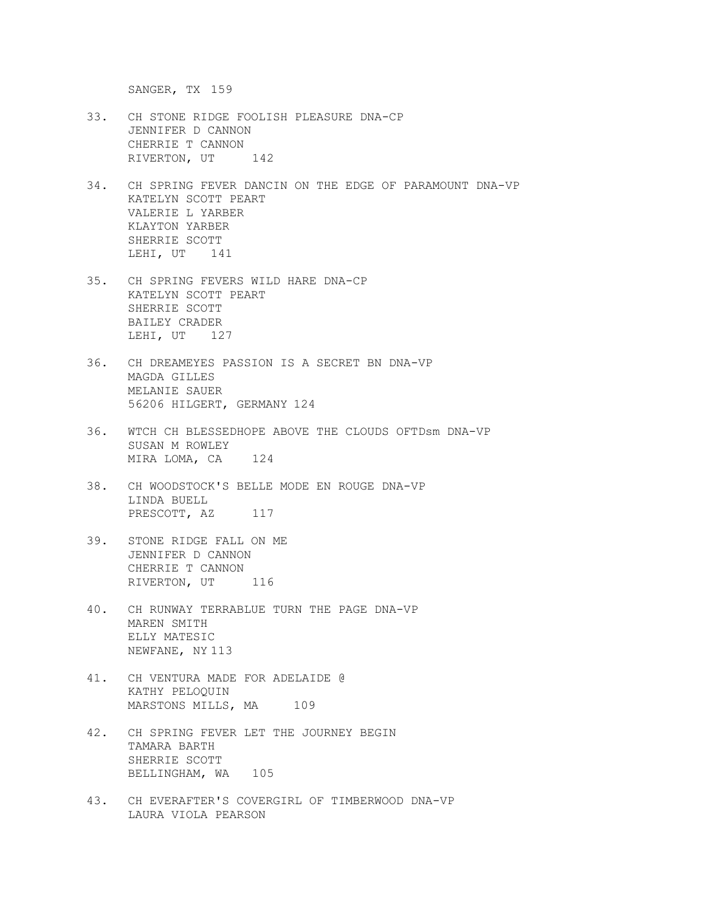SANGER, TX 159

- 33. CH STONE RIDGE FOOLISH PLEASURE DNA-CP JENNIFER D CANNON CHERRIE T CANNON RIVERTON, UT 142
- 34. CH SPRING FEVER DANCIN ON THE EDGE OF PARAMOUNT DNA-VP KATELYN SCOTT PEART VALERIE L YARBER KLAYTON YARBER SHERRIE SCOTT LEHI, UT 141
- 35. CH SPRING FEVERS WILD HARE DNA-CP KATELYN SCOTT PEART SHERRIE SCOTT BAILEY CRADER LEHI, UT 127
- 36. CH DREAMEYES PASSION IS A SECRET BN DNA-VP MAGDA GILLES MELANIE SAUER 56206 HILGERT, GERMANY 124
- 36. WTCH CH BLESSEDHOPE ABOVE THE CLOUDS OFTDsm DNA-VP SUSAN M ROWLEY MIRA LOMA, CA 124
- 38. CH WOODSTOCK'S BELLE MODE EN ROUGE DNA-VP LINDA BUELL PRESCOTT, AZ 117
- 39. STONE RIDGE FALL ON ME JENNIFER D CANNON CHERRIE T CANNON RIVERTON, UT 116
- 40. CH RUNWAY TERRABLUE TURN THE PAGE DNA-VP MAREN SMITH ELLY MATESIC NEWFANE, NY 113
- 41. CH VENTURA MADE FOR ADELAIDE @ KATHY PELOQUIN MARSTONS MILLS, MA 109
- 42. CH SPRING FEVER LET THE JOURNEY BEGIN TAMARA BARTH SHERRIE SCOTT BELLINGHAM, WA 105
- 43. CH EVERAFTER'S COVERGIRL OF TIMBERWOOD DNA-VP LAURA VIOLA PEARSON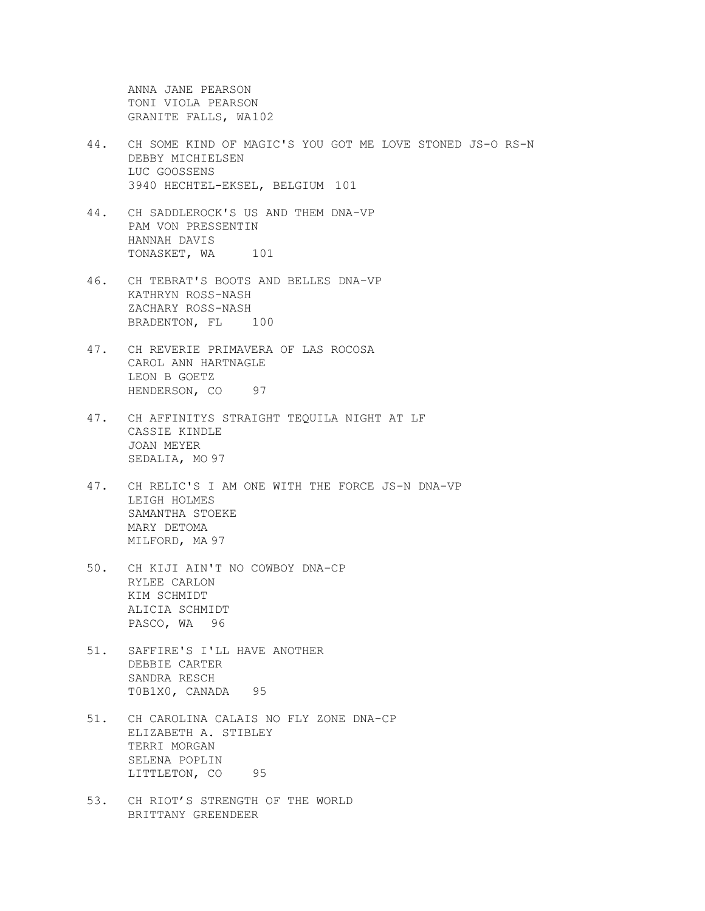ANNA JANE PEARSON TONI VIOLA PEARSON GRANITE FALLS, WA102

- 44. CH SOME KIND OF MAGIC'S YOU GOT ME LOVE STONED JS-O RS-N DEBBY MICHIELSEN LUC GOOSSENS 3940 HECHTEL-EKSEL, BELGIUM 101
- 44. CH SADDLEROCK'S US AND THEM DNA-VP PAM VON PRESSENTIN HANNAH DAVIS TONASKET, WA 101
- 46. CH TEBRAT'S BOOTS AND BELLES DNA-VP KATHRYN ROSS-NASH ZACHARY ROSS-NASH BRADENTON, FL 100
- 47. CH REVERIE PRIMAVERA OF LAS ROCOSA CAROL ANN HARTNAGLE LEON B GOETZ HENDERSON, CO 97
- 47. CH AFFINITYS STRAIGHT TEQUILA NIGHT AT LF CASSIE KINDLE JOAN MEYER SEDALIA, MO 97
- 47. CH RELIC'S I AM ONE WITH THE FORCE JS-N DNA-VP LEIGH HOLMES SAMANTHA STOEKE MARY DETOMA MILFORD, MA 97
- 50. CH KIJI AIN'T NO COWBOY DNA-CP RYLEE CARLON KIM SCHMIDT ALICIA SCHMIDT PASCO, WA 96
- 51. SAFFIRE'S I'LL HAVE ANOTHER DEBBIE CARTER SANDRA RESCH T0B1X0, CANADA 95
- 51. CH CAROLINA CALAIS NO FLY ZONE DNA-CP ELIZABETH A. STIBLEY TERRI MORGAN SELENA POPLIN LITTLETON, CO 95
- 53. CH RIOT'S STRENGTH OF THE WORLD BRITTANY GREENDEER